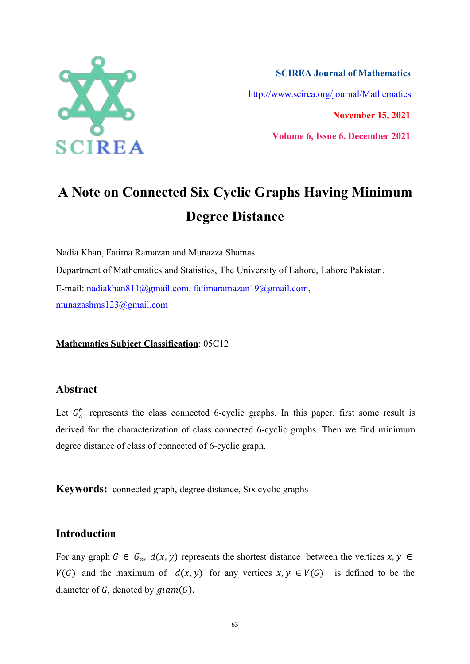

**SCIREA Journal of Mathematics** http://www.scirea.org/journal/Mathematics **November 15, 2021**

**Volume 6, Issue 6, December 2021**

# **A Note on Connected Six Cyclic Graphs Having Minimum Degree Distance**

Nadia Khan, Fatima Ramazan and Munazza Shamas Department of Mathematics and Statistics, The University of Lahore, Lahore Pakistan. E-mail: nadiakhan811@gmail.com, fatimaramazan19@gmail.com, munazashms123@gmail.com

**Mathematics Subject Classification**: 05C12

## **Abstract**

Let  $G_n^6$  represents the class connected 6-cyclic graphs. In this paper, first some result is derived for the characterization of class connected 6-cyclic graphs. Then we find minimum degree distance of class of connected of 6-cyclic graph.

**Keywords:** connected graph, degree distance, Six cyclic graphs

# **Introduction**

For any graph  $G \in G_n$ ,  $d(x, y)$  represents the shortest distance between the vertices  $x, y \in G$  $V(G)$  and the maximum of  $d(x, y)$  for any vertices  $x, y \in V(G)$  is defined to be the diameter of  $G$ , denoted by  $gamma(G)$ .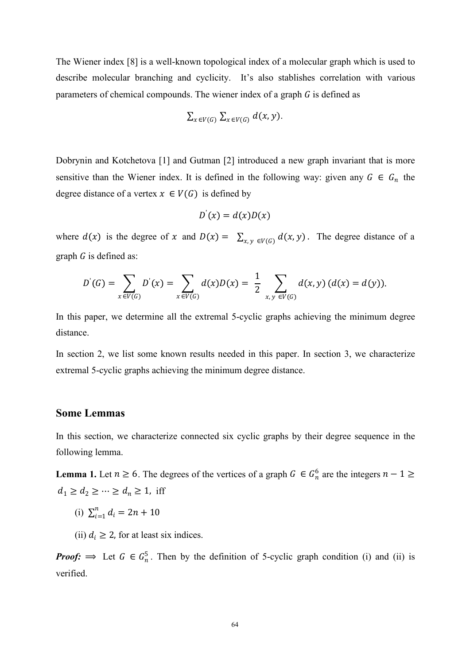The Wiener index [8] is a well-known topological index of a molecular graph which is used to describe molecular branching and cyclicity. It's also stablishes correlation with various parameters of chemical compounds. The wiener index of a graph  $G$  is defined as

$$
\sum_{x \in V(G)} \sum_{x \in V(G)} d(x, y).
$$

Dobrynin and Kotchetova [1] and Gutman [2] introduced a new graph invariant that is more sensitive than the Wiener index. It is defined in the following way: given any  $G \in G_n$  the degree distance of a vertex  $x \in V(G)$  is defined by

$$
D^{'}(x) = d(x)D(x)
$$

where  $d(x)$  is the degree of x and  $D(x) = \sum_{x,y \in V(G)} d(x,y)$ . The degree distance of a graph  $G$  is defined as:

$$
D^{'}(G) = \sum_{x \in V(G)} D^{'}(x) = \sum_{x \in V(G)} d(x)D(x) = \frac{1}{2} \sum_{x, y \in V(G)} d(x, y) (d(x) = d(y)).
$$

In this paper, we determine all the extremal 5-cyclic graphs achieving the minimum degree distance.

In section 2, we list some known results needed in this paper. In section 3, we characterize extremal 5-cyclic graphs achieving the minimum degree distance.

#### **Some Lemmas**

In this section, we characterize connected six cyclic graphs by their degree sequence in the following lemma.

**Lemma 1.** Let  $n \ge 6$ . The degrees of the vertices of a graph  $G \in G_n^6$  are the integers  $n-1 \ge$  $d_1 \geq d_2 \geq \cdots \geq d_n \geq 1$ , iff

- (i)  $\sum_{i=1}^{n} d_i = 2n + 10$
- (ii)  $d_i \geq 2$ , for at least six indices.

*Proof:*  $\implies$  Let  $G \in G_n^5$ . Then by the definition of 5-cyclic graph condition (i) and (ii) is verified.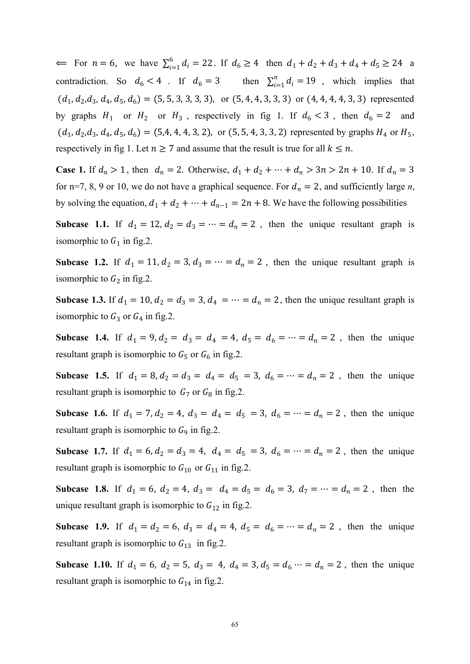$\Leftarrow$  For  $n = 6$ , we have  $\sum_{i=1}^{6} d_i = 22$ . If  $d_6 \ge 4$  then  $d_1 + d_2 + d_3 + d_4 + d_5 \ge 24$  a contradiction. So  $d_6 < 4$ . If  $d_6 = 3$  then  $\sum_{i=1}^{n} d_i = 19$ , which implies that  $(d_1, d_2, d_3, d_4, d_5, d_6) = (5, 5, 3, 3, 3, 3)$ , or  $(5, 4, 4, 3, 3, 3)$  or  $(4, 4, 4, 4, 4, 3, 3)$  represented by graphs  $H_1$  or  $H_2$  or  $H_3$ , respectively in fig 1. If  $d_6 < 3$ , then  $d_6 = 2$  and  $(d_1, d_2, d_3, d_4, d_5, d_6) = (5, 4, 4, 4, 3, 2)$ , or  $(5, 5, 4, 3, 3, 2)$  represented by graphs  $H_4$  or  $H_5$ , respectively in fig 1. Let  $n \ge 7$  and assume that the result is true for all  $k \le n$ .

**Case 1.** If  $d_n > 1$ , then  $d_n = 2$ . Otherwise,  $d_1 + d_2 + \cdots + d_n > 3n > 2n + 10$ . If  $d_n = 3$ for n=7, 8, 9 or 10, we do not have a graphical sequence. For  $d_n = 2$ , and sufficiently large *n*, by solving the equation,  $d_1 + d_2 + \cdots + d_{n-1} = 2n + 8$ . We have the following possibilities

**Subcase** 1.1. If  $d_1 = 12$ ,  $d_2 = d_3 = \cdots = d_n = 2$ , then the unique resultant graph is isomorphic to  $G_1$  in fig.2.

**Subcase** 1.2. If  $d_1 = 11$ ,  $d_2 = 3$ ,  $d_3 = \cdots = d_n = 2$ , then the unique resultant graph is isomorphic to  $G_2$  in fig.2.

**Subcase** 1.3. If  $d_1 = 10$ ,  $d_2 = d_3 = 3$ ,  $d_4 = \cdots = d_n = 2$ , then the unique resultant graph is isomorphic to  $G_3$  or  $G_4$  in fig.2.

**Subcase** 1.4. If  $d_1 = 9$ ,  $d_2 = d_3 = d_4 = 4$ ,  $d_5 = d_6 = \cdots = d_n = 2$ , then the unique resultant graph is isomorphic to  $G_5$  or  $G_6$  in fig.2.

**Subcase** 1.5. If  $d_1 = 8$ ,  $d_2 = d_3 = d_4 = d_5 = 3$ ,  $d_6 = \cdots = d_n = 2$ , then the unique resultant graph is isomorphic to  $G_7$  or  $G_8$  in fig.2.

**Subcase** 1.6. If  $d_1 = 7$ ,  $d_2 = 4$ ,  $d_3 = d_4 = d_5 = 3$ ,  $d_6 = \cdots = d_n = 2$ , then the unique resultant graph is isomorphic to  $G<sub>9</sub>$  in fig.2.

**Subcase** 1.7. If  $d_1 = 6$ ,  $d_2 = d_3 = 4$ ,  $d_4 = d_5 = 3$ ,  $d_6 = \cdots = d_n = 2$ , then the unique resultant graph is isomorphic to  $G_{10}$  or  $G_{11}$  in fig.2.

**Subcase** 1.8. If  $d_1 = 6$ ,  $d_2 = 4$ ,  $d_3 = d_4 = d_5 = d_6 = 3$ ,  $d_7 = \cdots = d_n = 2$ , then the unique resultant graph is isomorphic to  $G_{12}$  in fig.2.

**Subcase** 1.9. If  $d_1 = d_2 = 6$ ,  $d_3 = d_4 = 4$ ,  $d_5 = d_6 = \cdots = d_n = 2$ , then the unique resultant graph is isomorphic to  $G_{13}$  in fig.2.

**Subcase** 1.10. If  $d_1 = 6$ ,  $d_2 = 5$ ,  $d_3 = 4$ ,  $d_4 = 3$ ,  $d_5 = d_6 \cdots = d_n = 2$ , then the unique resultant graph is isomorphic to  $G_{14}$  in fig.2.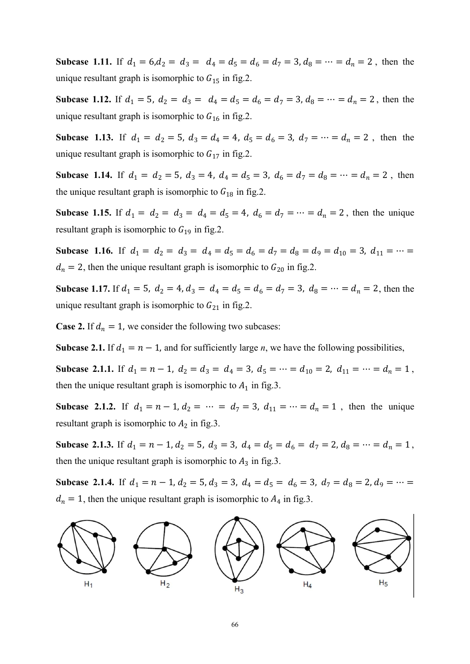**Subcase** 1.11. If  $d_1 = 6, d_2 = d_3 = d_4 = d_5 = d_6 = d_7 = 3, d_8 = \cdots = d_n = 2$ , then the unique resultant graph is isomorphic to  $G_{15}$  in fig.2.

**Subcase** 1.12. If  $d_1 = 5$ ,  $d_2 = d_3 = d_4 = d_5 = d_6 = d_7 = 3$ ,  $d_8 = \cdots = d_n = 2$ , then the unique resultant graph is isomorphic to  $G_{16}$  in fig.2.

**Subcase** 1.13. If  $d_1 = d_2 = 5$ ,  $d_3 = d_4 = 4$ ,  $d_5 = d_6 = 3$ ,  $d_7 = \cdots = d_n = 2$ , then the unique resultant graph is isomorphic to  $G_{17}$  in fig.2.

**Subcase** 1.14. If  $d_1 = d_2 = 5$ ,  $d_3 = 4$ ,  $d_4 = d_5 = 3$ ,  $d_6 = d_7 = d_8 = \cdots = d_n = 2$ , then the unique resultant graph is isomorphic to  $G_{18}$  in fig.2.

**Subcase** 1.15. If  $d_1 = d_2 = d_3 = d_4 = d_5 = 4$ ,  $d_6 = d_7 = \cdots = d_n = 2$ , then the unique resultant graph is isomorphic to  $G_{19}$  in fig.2.

**Subcase** 1.16. If  $d_1 = d_2 = d_3 = d_4 = d_5 = d_6 = d_7 = d_8 = d_9 = d_{10} = 3$ ,  $d_{11} = \cdots =$  $d_n = 2$ , then the unique resultant graph is isomorphic to  $G_{20}$  in fig.2.

**Subcase** 1.17. If  $d_1 = 5$ ,  $d_2 = 4$ ,  $d_3 = d_4 = d_5 = d_6 = d_7 = 3$ ,  $d_8 = \cdots = d_n = 2$ , then the unique resultant graph is isomorphic to  $G_{21}$  in fig.2.

**Case 2.** If  $d_n = 1$ , we consider the following two subcases:

**Subcase 2.1.** If  $d_1 = n - 1$ , and for sufficiently large *n*, we have the following possibilities,

**Subcase 2.1.1.** If  $d_1 = n - 1$ ,  $d_2 = d_3 = d_4 = 3$ ,  $d_5 = \cdots = d_{10} = 2$ ,  $d_{11} = \cdots = d_n = 1$ , then the unique resultant graph is isomorphic to  $A_1$  in fig.3.

**Subcase** 2.1.2. If  $d_1 = n - 1$ ,  $d_2 = \cdots = d_7 = 3$ ,  $d_{11} = \cdots = d_n = 1$ , then the unique resultant graph is isomorphic to  $A_2$  in fig.3.

**Subcase 2.1.3.** If  $d_1 = n - 1$ ,  $d_2 = 5$ ,  $d_3 = 3$ ,  $d_4 = d_5 = d_6 = d_7 = 2$ ,  $d_8 = \cdots = d_n = 1$ , then the unique resultant graph is isomorphic to  $A_3$  in fig.3.

**Subcase** 2.1.4. If  $d_1 = n - 1$ ,  $d_2 = 5$ ,  $d_3 = 3$ ,  $d_4 = d_5 = d_6 = 3$ ,  $d_7 = d_8 = 2$ ,  $d_9 = \cdots =$  $d_n = 1$ , then the unique resultant graph is isomorphic to  $A_4$  in fig.3.

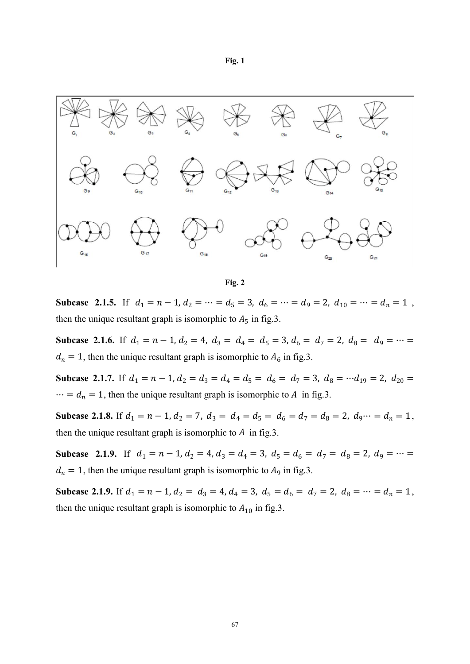#### **Fig. 1**



**Fig. 2**

**Subcase** 2.1.5. If  $d_1 = n - 1$ ,  $d_2 = \cdots = d_5 = 3$ ,  $d_6 = \cdots = d_9 = 2$ ,  $d_{10} = \cdots = d_n = 1$ , then the unique resultant graph is isomorphic to  $A_5$  in fig.3.

**Subcase** 2.1.6. If  $d_1 = n - 1$ ,  $d_2 = 4$ ,  $d_3 = d_4 = d_5 = 3$ ,  $d_6 = d_7 = 2$ ,  $d_8 = d_9 = \cdots$  $d_n = 1$ , then the unique resultant graph is isomorphic to  $A_6$  in fig.3.

**Subcase** 2.1.7. If  $d_1 = n - 1$ ,  $d_2 = d_3 = d_4 = d_5 = d_6 = d_7 = 3$ ,  $d_8 = \cdots d_{19} = 2$ ,  $d_{20} =$  $\cdots = d_n = 1$ , then the unique resultant graph is isomorphic to A in fig.3.

**Subcase 2.1.8.** If  $d_1 = n - 1$ ,  $d_2 = 7$ ,  $d_3 = d_4 = d_5 = d_6 = d_7 = d_8 = 2$ ,  $d_9 \cdots = d_n = 1$ , then the unique resultant graph is isomorphic to  $A$  in fig.3.

**Subcase** 2.1.9. If  $d_1 = n - 1$ ,  $d_2 = 4$ ,  $d_3 = d_4 = 3$ ,  $d_5 = d_6 = d_7 = d_8 = 2$ ,  $d_9 = \cdots =$  $d_n = 1$ , then the unique resultant graph is isomorphic to  $A_9$  in fig.3.

**Subcase 2.1.9.** If  $d_1 = n - 1$ ,  $d_2 = d_3 = 4$ ,  $d_4 = 3$ ,  $d_5 = d_6 = d_7 = 2$ ,  $d_8 = \cdots = d_n = 1$ , then the unique resultant graph is isomorphic to  $A_{10}$  in fig.3.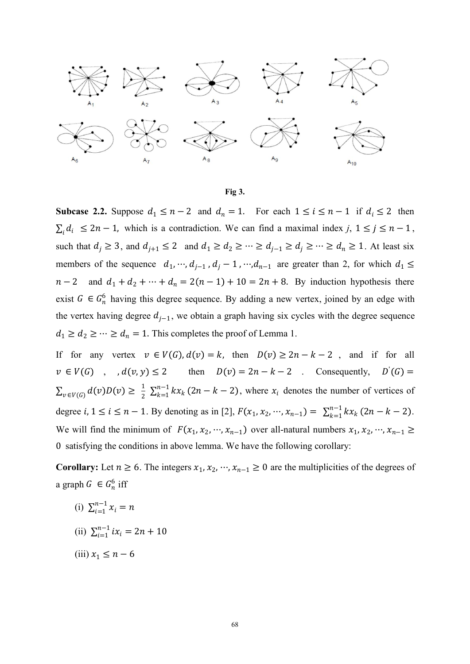



**Subcase 2.2.** Suppose  $d_1 \le n - 2$  and  $d_n = 1$ . For each  $1 \le i \le n - 1$  if  $d_i \le 2$  then  $\sum_i d_i \leq 2n-1$ , which is a contradiction. We can find a maximal index *j*,  $1 \leq j \leq n-1$ , such that  $d_j \ge 3$ , and  $d_{j+1} \le 2$  and  $d_1 \ge d_2 \ge \cdots \ge d_{j-1} \ge d_j \ge \cdots \ge d_n \ge 1$ . At least six members of the sequence  $d_1, \dots, d_{j-1}$ ,  $d_j - 1$ ,  $\dots, d_{n-1}$  are greater than 2, for which  $d_1 \leq$  $n-2$  and  $d_1 + d_2 + \cdots + d_n = 2(n-1) + 10 = 2n + 8$ . By induction hypothesis there exist  $G \in G_n^6$  having this degree sequence. By adding a new vertex, joined by an edge with the vertex having degree  $d_{i-1}$ , we obtain a graph having six cycles with the degree sequence  $d_1 \geq d_2 \geq \cdots \geq d_n = 1$ . This completes the proof of Lemma 1.

If for any vertex  $v \in V(G)$ ,  $d(v) = k$ , then  $D(v) \ge 2n - k - 2$ , and if for all  $v \in V(G)$ ,  $d(v, y) \le 2$  then  $D(v) = 2n - k - 2$ . Consequently,  $D(G) =$  $\sum_{v \in V(G)} d(v)D(v) \geq \frac{1}{2} \sum_{k=1}^{n-1} kx_k (2n-k-2)$ , where  $x_i$  denotes the number of vertices of degree *i*,  $1 \le i \le n - 1$ . By denoting as in [2],  $F(x_1, x_2, \dots, x_{n-1}) = \sum_{k=1}^{n-1} kx_k (2n - k - 2)$ . We will find the minimum of  $F(x_1, x_2, ..., x_{n-1})$  over all-natural numbers  $x_1, x_2, ..., x_{n-1} \ge$ 0 satisfying the conditions in above lemma. We have the following corollary:

**Corollary:** Let  $n \ge 6$ . The integers  $x_1, x_2, \dots, x_{n-1} \ge 0$  are the multiplicities of the degrees of a graph  $G \in G_n^6$  iff

- (i)  $\sum_{i=1}^{n-1} x_i = n$
- (ii)  $\sum_{i=1}^{n-1} ix_i = 2n + 10$
- (iii)  $x_1 \leq n-6$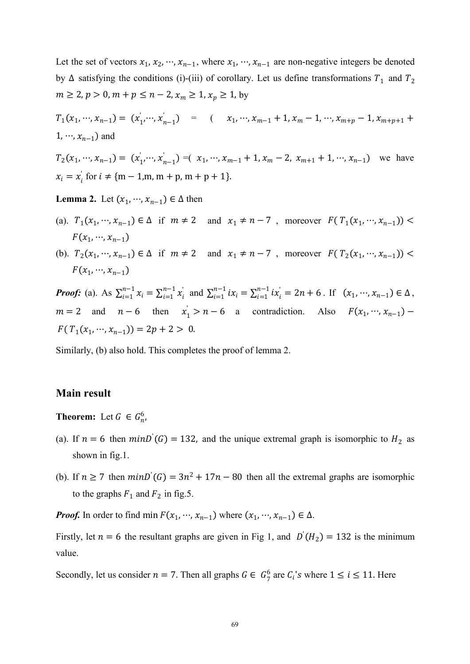Let the set of vectors  $x_1, x_2, \dots, x_{n-1}$ , where  $x_1, \dots, x_{n-1}$  are non-negative integers be denoted by  $\Delta$  satisfying the conditions (i)-(iii) of corollary. Let us define transformations  $T_1$  and  $T_2$  $m \ge 2$ ,  $p > 0$ ,  $m + p \le n - 2$ ,  $x_m \ge 1$ ,  $x_p \ge 1$ , by

$$
T_1(x_1, ..., x_{n-1}) = (x'_1, ..., x'_{n-1}) = (x_1, ..., x_{m-1} + 1, x_m - 1, ..., x_{m+p} - 1, x_{m+p+1} + 1, ..., x_{n-1})
$$
 and

$$
T_2(x_1, \dots, x_{n-1}) = (x_1, \dots, x_{n-1}) = (x_1, \dots, x_{m-1} + 1, x_m - 2, x_{m+1} + 1, \dots, x_{n-1})
$$
 we have  

$$
x_i = x_i^{\dagger}
$$
 for  $i \neq \{m-1, m, m+p, m+p+1\}.$ 

**Lemma 2.** Let  $(x_1, \dots, x_{n-1}) \in \Delta$  then

- (a).  $T_1(x_1, ..., x_{n-1}) \in \Delta$  if  $m \neq 2$  and  $x_1 \neq n-7$ , moreover  $F(T_1(x_1, ..., x_{n-1}))$  $F(x_1, ..., x_{n-1})$
- (b).  $T_2(x_1, ..., x_{n-1}) \in \Delta$  if  $m \neq 2$  and  $x_1 \neq n-7$ , moreover  $F(T_2(x_1, ..., x_{n-1}))$  $F(x_1, ..., x_{n-1})$

**Proof:** (a). As  $\sum_{i=1}^{n-1} x_i = \sum_{i=1}^{n-1} x_i^{\prime}$  and  $\sum_{i=1}^{n-1} ix_i = \sum_{i=1}^{n-1} ix_i^{\prime} = 2n + 6$ . If  $(x_1, \dots, x_{n-1}) \in \Delta$ ,  $m = 2$  and  $n - 6$  then  $x_1 > n - 6$  a contradiction. Also  $F(x_1, \dots, x_{n-1})$  $f(T_1(x_1, ..., x_{n-1})) = 2p + 2 > 0.$ 

Similarly, (b) also hold. This completes the proof of lemma 2.

#### **Main result**

**Theorem:** Let  $G \in G_n^6$ ,  $\mathbf{6}$  $\mathcal{F}^{\text{max}}_{\text{max}}$ 

- (a). If  $n = 6$  then  $minD(G) = 132$ , and the unique extremal graph is isomorphic to  $H_2$  as shown in fig.1.
- (b). If  $n \ge 7$  then  $minD'(G) = 3n^2 + 17n 80$  then all the extremal graphs are isomorphic to the graphs  $F_1$  and  $F_2$  in fig.5.

**Proof.** In order to find min  $F(x_1, \dots, x_{n-1})$  where  $(x_1, \dots, x_{n-1}) \in \Delta$ .

Firstly, let  $n = 6$  the resultant graphs are given in Fig 1, and  $D(H_2) = 132$  is the minimum value.

Secondly, let us consider  $n = 7$ . Then all graphs  $G \in G_7^6$  are  $C_i$ 's where  $1 \le i \le 11$ . Here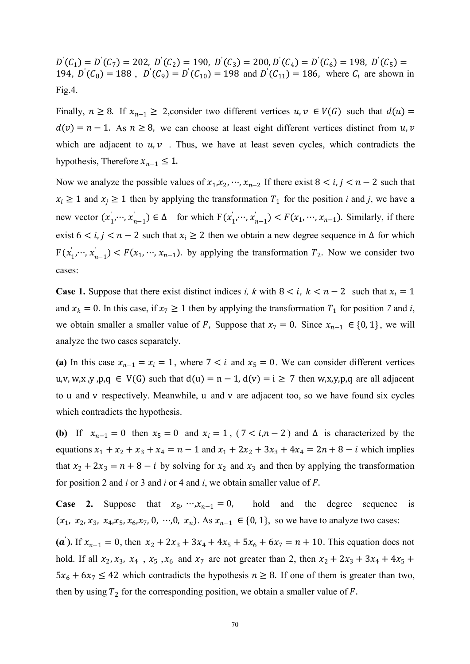$D(C_1) = D(C_7) = 202$ ,  $D(C_2) = 190$ ,  $D(C_3) = 200$ ,  $D(C_4) = D(C_6) = 198$ ,  $D(C_5) =$ 194,  $D(C_8) = 188$ ,  $D(C_9) = D(C_{10}) = 198$  and  $D(C_{11}) = 186$ , where  $C_i$  are shown in Fig.4.

Finally,  $n \ge 8$ . If  $x_{n-1} \ge 2$ , consider two different vertices  $u, v \in V(G)$  such that  $d(u) =$  $d(v) = n - 1$ . As  $n \ge 8$ , we can choose at least eight different vertices distinct from u, v which are adjacent to  $u, v$ . Thus, we have at least seven cycles, which contradicts the hypothesis, Therefore  $x_{n-1} \leq 1$ .

Now we analyze the possible values of  $x_1, x_2, \dots, x_{n-2}$  If there exist  $8 < i, j < n-2$  such that  $x_i \geq 1$  and  $x_j \geq 1$  then by applying the transformation  $T_1$  for the position *i* and *j*, we have a new vector  $(x_1, ..., x_{n-1}) \in \Delta$  for which  $F(x_1, ..., x_{n-1}) < F(x_1, ..., x_{n-1})$ . Similarly, if there exist  $6 < i, j < n - 2$  such that  $x_i \ge 2$  then we obtain a new degree sequence in  $\Delta$  for which  $F(x_1, ..., x_{n-1}) < F(x_1, ..., x_{n-1})$  by applying the transformation  $T_2$ . Now we consider two cases:

**Case 1.** Suppose that there exist distinct indices *i, k* with  $8 < i$ ,  $k < n - 2$  such that  $x_i = 1$ and  $x_k = 0$ . In this case, if  $x_7 \ge 1$  then by applying the transformation  $T_1$  for position 7 and *i*, we obtain smaller a smaller value of F, Suppose that  $x_7 = 0$ . Since  $x_{n-1} \in \{0, 1\}$ , we will analyze the two cases separately.

(a) In this case  $x_{n-1} = x_i = 1$ , where  $7 < i$  and  $x_5 = 0$ . We can consider different vertices u,v, w,x, y, p,q  $\in V(G)$  such that  $d(u) = n - 1$ ,  $d(v) = i \ge 7$  then w,x, y, p,q are all adjacent to u and v respectively. Meanwhile, u and v are adjacent too, so we have found six cycles which contradicts the hypothesis.

**(b)** If  $x_{n-1} = 0$  then  $x_5 = 0$  and  $x_i = 1$ ,  $(7 < i, n-2)$  and  $\Delta$  is characterized by the equations  $x_1 + x_2 + x_3 + x_4 = n - 1$  and  $x_1 + 2x_2 + 3x_3 + 4x_4 = 2n + 8 - i$  which implies that  $x_2 + 2x_3 = n + 8 - i$  by solving for  $x_2$  and  $x_3$  and then by applying the transformation for position 2 and *i* or 3 and *i* or 4 and *i*, we obtain smaller value of

**Case 2.** Suppose that  $x_8, \dots, x_{n-1} = 0$ , hold and the degree sequence is  $(x_1, x_2, x_3, x_4, x_5, x_6, x_7, 0, \dots, 0, x_n)$ . As  $x_{n-1} \in \{0, 1\}$ , so we have to analyze two cases:

(a). If  $x_{n-1} = 0$ , then  $x_2 + 2x_3 + 3x_4 + 4x_5 + 5x_6 + 6x_7 = n + 10$ . This equation does not hold. If all  $x_2, x_3, x_4, x_5, x_6$  and  $x_7$  are not greater than 2, then  $x_2 + 2x_3 + 3x_4 + 4x_5 +$  $5x_6 + 6x_7 \le 42$  which contradicts the hypothesis  $n \ge 8$ . If one of them is greater than two, then by using  $T_2$  for the corresponding position, we obtain a smaller value of F.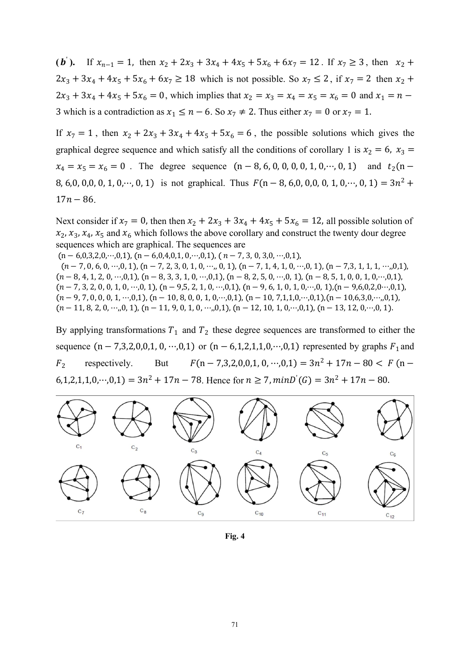(b). If  $x_{n-1} = 1$ , then  $x_2 + 2x_3 + 3x_4 + 4x_5 + 5x_6 + 6x_7 = 12$ . If  $x_7 \ge 3$ , then  $x_2 +$  $2x_3 + 3x_4 + 4x_5 + 5x_6 + 6x_7 \ge 18$  which is not possible. So  $x_7 \le 2$ , if  $x_7 = 2$  then  $x_2$  +  $2x_3 + 3x_4 + 4x_5 + 5x_6 = 0$ , which implies that  $x_2 = x_3 = x_4 = x_5 = x_6 = 0$  and  $x_1 = n -$ 3 which is a contradiction as  $x_1 \le n - 6$ . So  $x_7 \ne 2$ . Thus either  $x_7 = 0$  or  $x_7 = 1$ .

If  $x_7 = 1$ , then  $x_2 + 2x_3 + 3x_4 + 4x_5 + 5x_6 = 6$ , the possible solutions which gives the graphical degree sequence and which satisfy all the conditions of corollary 1 is  $x_2 = 6$ ,  $x_3 =$  $x_4 = x_5 = x_6 = 0$ . The degree sequence  $(n - 8, 6, 0, 0, 0, 0, 1, 0, \dots, 0, 1)$  and  $t_2(n -$ 8, 6,0, 0,0, 0, 1, 0,  $\cdots$ , 0, 1) is not graphical. Thus  $F(n-8, 6, 0, 0, 0, 0, 1, 0, \cdots, 0, 1) = 3n^2 +$  $\lambda^2 +$  $17n - 86$ .

Next consider if  $x_7 = 0$ , then then  $x_2 + 2x_3 + 3x_4 + 4x_5 + 5x_6 = 12$ , all possible solution of  $x_2$ ,  $x_3$ ,  $x_4$ ,  $x_5$  and  $x_6$  which follows the above corollary and construct the twenty dour degree sequences which are graphical. The sequences are

 $(n - 6, 0, 3, 2, 0, \cdots, 0, 1), (n - 6, 0, 4, 0, 1, 0, \cdots, 0, 1), (n - 7, 3, 0, 3, 0, \cdots, 0, 1),$  $(n-7, 0, 6, 0, \cdots, 0, 1), (n-7, 2, 3, 0, 1, 0, \cdots, 0, 1), (n-7, 1, 4, 1, 0, \cdots, 0, 1), (n-7, 3, 1, 1, 1, \cdots, 0, 1),$  $(n-8, 4, 1, 2, 0, \cdots, 0, 1), (n-8, 3, 3, 1, 0, \cdots, 0, 1), (n-8, 2, 5, 0, \cdots, 0, 1), (n-8, 5, 1, 0, 0, 1, 0, \cdots, 0, 1),$  $(n-7, 3, 2, 0, 0, 1, 0, \cdots, 0, 1), (n-9, 5, 2, 1, 0, \cdots, 0, 1), (n-9, 6, 1, 0, 1, 0, \cdots, 0, 1), (n-9, 6, 0, 2, 0, \cdots, 0, 1),$  $(n-9, 7, 0, 0, 0, 1, \cdots, 0, 1), (n-10, 8, 0, 0, 1, 0, \cdots, 0, 1), (n-10, 7, 1, 1, 0, \cdots, 0, 1), (n-10, 6, 3, 0, \cdots, 0, 1),$  $(n-11, 8, 2, 0, \cdots, 0, 1), (n-11, 9, 0, 1, 0, \cdots, 0, 1), (n-12, 10, 1, 0, \cdots, 0, 1), (n-13, 12, 0, \cdots, 0, 1).$ 

By applying transformations  $T_1$  and  $T_2$  these degree sequences are transformed to either the sequence  $(n - 7,3,2,0,0,1,0,\dots,0,1)$  or  $(n - 6,1,2,1,1,0,\dots,0,1)$  represented by graphs  $F_1$  and  $F_2$  respectively. respectively. But  $F(n-7,3,2,0,0,1,0,\dots,0,1) = 3n^2 + 17n - 80 < F(n t_{0}$ ,  $t_{0}$ ,  $t_{1}$ ,  $t_{0}$ ,  $t_{0}$ ,  $t_{0}$ ,  $t_{1}$  = 78. Hence for  $n \ge 7$ ,  $minD(G) = 3n^{2} + 17n - 80$ .



**Fig. 4**